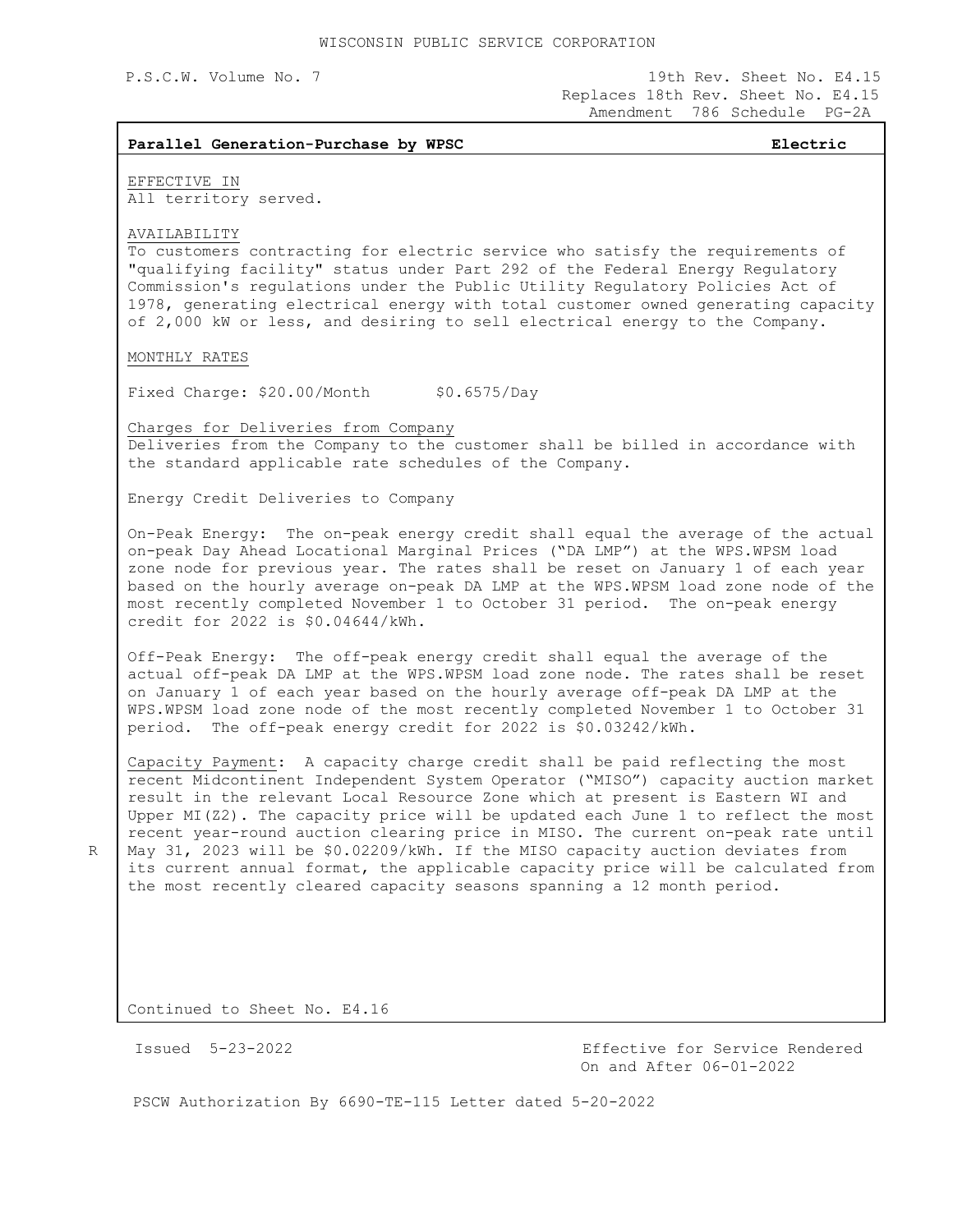P.S.C.W. Volume No. 7 19th Rev. Sheet No. E4.15 Replaces 18th Rev. Sheet No. E4.15 Amendment 786 Schedule PG-2A

## **Parallel Generation-Purchase by WPSC Electric**

EFFECTIVE IN All territory served.

AVAILABILITY

To customers contracting for electric service who satisfy the requirements of "qualifying facility" status under Part 292 of the Federal Energy Regulatory Commission's regulations under the Public Utility Regulatory Policies Act of 1978, generating electrical energy with total customer owned generating capacity of 2,000 kW or less, and desiring to sell electrical energy to the Company.

MONTHLY RATES

Fixed Charge: \$20.00/Month \$0.6575/Day

Charges for Deliveries from Company

Deliveries from the Company to the customer shall be billed in accordance with the standard applicable rate schedules of the Company.

Energy Credit Deliveries to Company

On-Peak Energy: The on-peak energy credit shall equal the average of the actual on-peak Day Ahead Locational Marginal Prices ("DA LMP") at the WPS.WPSM load zone node for previous year. The rates shall be reset on January 1 of each year based on the hourly average on-peak DA LMP at the WPS.WPSM load zone node of the most recently completed November 1 to October 31 period. The on-peak energy credit for 2022 is \$0.04644/kWh.

Off-Peak Energy: The off-peak energy credit shall equal the average of the actual off-peak DA LMP at the WPS.WPSM load zone node. The rates shall be reset on January 1 of each year based on the hourly average off-peak DA LMP at the WPS.WPSM load zone node of the most recently completed November 1 to October 31 period. The off-peak energy credit for 2022 is \$0.03242/kWh.

Capacity Payment: A capacity charge credit shall be paid reflecting the most recent Midcontinent Independent System Operator ("MISO") capacity auction market result in the relevant Local Resource Zone which at present is Eastern WI and Upper MI(Z2). The capacity price will be updated each June 1 to reflect the most recent year-round auction clearing price in MISO. The current on-peak rate until May 31, 2023 will be \$0.02209/kWh. If the MISO capacity auction deviates from its current annual format, the applicable capacity price will be calculated from the most recently cleared capacity seasons spanning a 12 month period.

Continued to Sheet No. E4.16

R

 Issued 5-23-2022 Effective for Service Rendered On and After 06-01-2022

PSCW Authorization By 6690-TE-115 Letter dated 5-20-2022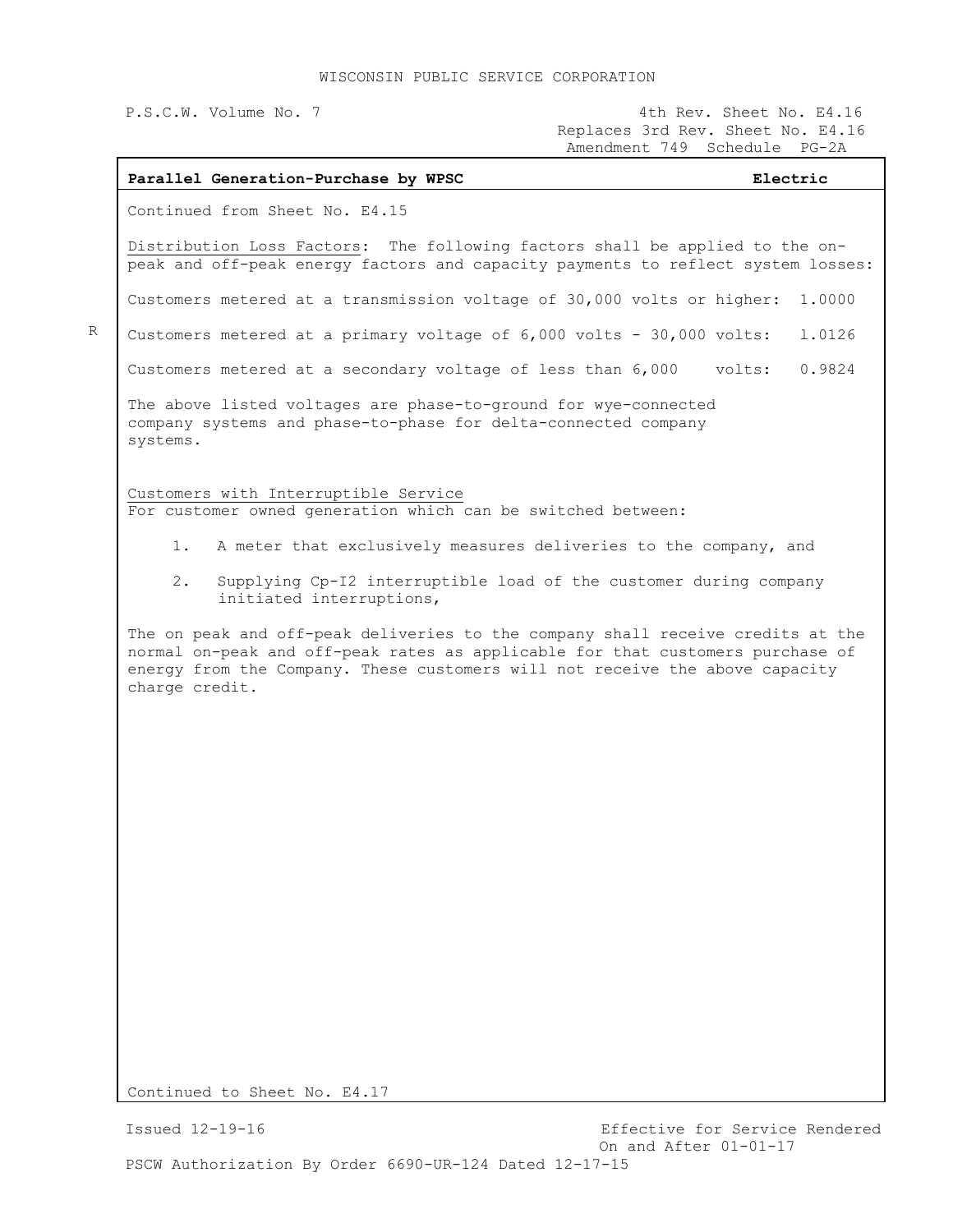## WISCONSIN PUBLIC SERVICE CORPORATION

| P.S.C.W. Volume No. 7                                                                                                                                                                                                                                               | 4th Rev. Sheet No. E4.16<br>Replaces 3rd Rev. Sheet No. E4.16<br>Amendment 749 Schedule PG-2A |
|---------------------------------------------------------------------------------------------------------------------------------------------------------------------------------------------------------------------------------------------------------------------|-----------------------------------------------------------------------------------------------|
| Parallel Generation-Purchase by WPSC                                                                                                                                                                                                                                | Electric                                                                                      |
| Continued from Sheet No. E4.15                                                                                                                                                                                                                                      |                                                                                               |
| Distribution Loss Factors: The following factors shall be applied to the on-<br>peak and off-peak energy factors and capacity payments to reflect system losses:                                                                                                    |                                                                                               |
| Customers metered at a transmission voltage of 30,000 volts or higher:                                                                                                                                                                                              | 1,0000                                                                                        |
| Customers metered at a primary voltage of 6,000 volts - 30,000 volts:                                                                                                                                                                                               | 1.0126                                                                                        |
| Customers metered at a secondary voltage of less than 6,000 volts:                                                                                                                                                                                                  | 0.9824                                                                                        |
| The above listed voltages are phase-to-ground for wye-connected<br>company systems and phase-to-phase for delta-connected company<br>systems.                                                                                                                       |                                                                                               |
| Customers with Interruptible Service<br>For customer owned generation which can be switched between:                                                                                                                                                                |                                                                                               |
| $1$ .                                                                                                                                                                                                                                                               | A meter that exclusively measures deliveries to the company, and                              |
| 2.<br>initiated interruptions,                                                                                                                                                                                                                                      | Supplying Cp-I2 interruptible load of the customer during company                             |
| The on peak and off-peak deliveries to the company shall receive credits at the<br>normal on-peak and off-peak rates as applicable for that customers purchase of<br>energy from the Company. These customers will not receive the above capacity<br>charge credit. |                                                                                               |
|                                                                                                                                                                                                                                                                     |                                                                                               |
|                                                                                                                                                                                                                                                                     |                                                                                               |
|                                                                                                                                                                                                                                                                     |                                                                                               |
|                                                                                                                                                                                                                                                                     |                                                                                               |
|                                                                                                                                                                                                                                                                     |                                                                                               |
|                                                                                                                                                                                                                                                                     |                                                                                               |
|                                                                                                                                                                                                                                                                     |                                                                                               |
|                                                                                                                                                                                                                                                                     |                                                                                               |
|                                                                                                                                                                                                                                                                     |                                                                                               |
|                                                                                                                                                                                                                                                                     |                                                                                               |
| Continued to Sheet No. E4.17                                                                                                                                                                                                                                        |                                                                                               |

Continued to Sheet No. E4.17

R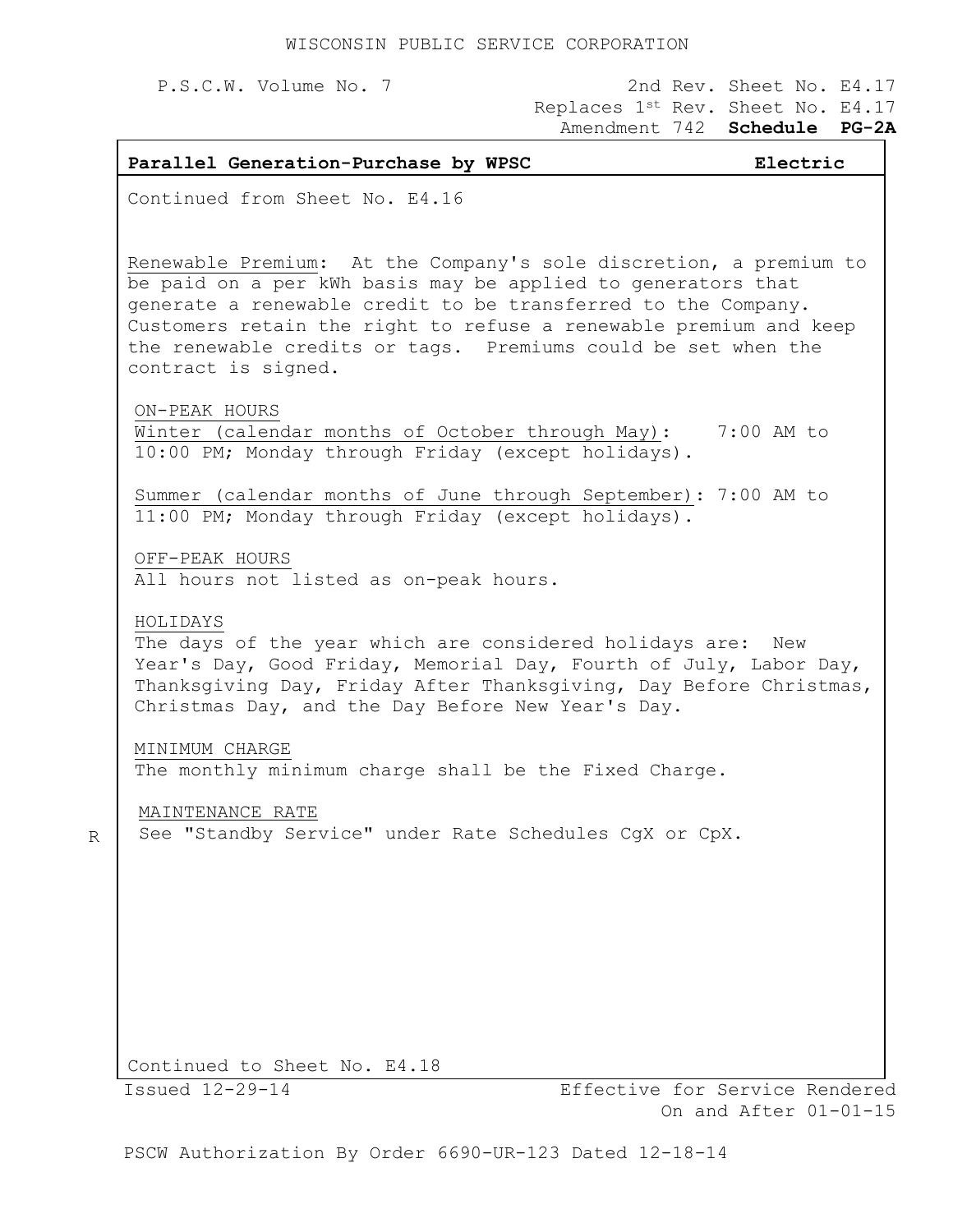R

## P.S.C.W. Volume No. 7 2nd Rev. Sheet No. E4.17 Replaces 1st Rev. Sheet No. E4.17 Amendment 742 **Schedule PG-2A**

| Parallel Generation-Purchase by WPSC                                                                                                                                                                                                                                                                                                                            | Electric                                                |
|-----------------------------------------------------------------------------------------------------------------------------------------------------------------------------------------------------------------------------------------------------------------------------------------------------------------------------------------------------------------|---------------------------------------------------------|
| Continued from Sheet No. E4.16                                                                                                                                                                                                                                                                                                                                  |                                                         |
| Renewable Premium: At the Company's sole discretion, a premium to<br>be paid on a per kWh basis may be applied to generators that<br>generate a renewable credit to be transferred to the Company.<br>Customers retain the right to refuse a renewable premium and keep<br>the renewable credits or tags. Premiums could be set when the<br>contract is signed. |                                                         |
| ON-PEAK HOURS<br>Winter (calendar months of October through May): 7:00 AM to<br>10:00 PM; Monday through Friday (except holidays).                                                                                                                                                                                                                              |                                                         |
| Summer (calendar months of June through September): 7:00 AM to<br>11:00 PM; Monday through Friday (except holidays).                                                                                                                                                                                                                                            |                                                         |
| OFF-PEAK HOURS<br>All hours not listed as on-peak hours.                                                                                                                                                                                                                                                                                                        |                                                         |
| HOLIDAYS<br>The days of the year which are considered holidays are: New<br>Year's Day, Good Friday, Memorial Day, Fourth of July, Labor Day,<br>Thanksgiving Day, Friday After Thanksgiving, Day Before Christmas,<br>Christmas Day, and the Day Before New Year's Day.                                                                                         |                                                         |
| MINIMUM CHARGE<br>The monthly minimum charge shall be the Fixed Charge.                                                                                                                                                                                                                                                                                         |                                                         |
| MAINTENANCE RATE<br>See "Standby Service" under Rate Schedules CqX or CpX.                                                                                                                                                                                                                                                                                      |                                                         |
|                                                                                                                                                                                                                                                                                                                                                                 |                                                         |
|                                                                                                                                                                                                                                                                                                                                                                 |                                                         |
|                                                                                                                                                                                                                                                                                                                                                                 |                                                         |
| Continued to Sheet No. E4.18                                                                                                                                                                                                                                                                                                                                    |                                                         |
| Issued 12-29-14                                                                                                                                                                                                                                                                                                                                                 | Effective for Service Rendered<br>On and After 01-01-15 |

PSCW Authorization By Order 6690-UR-123 Dated 12-18-14